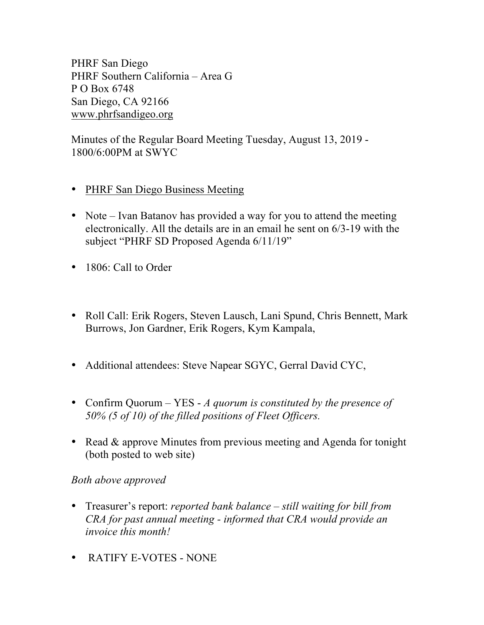PHRF San Diego PHRF Southern California – Area G P O Box 6748 San Diego, CA 92166 www.phrfsandigeo.org

Minutes of the Regular Board Meeting Tuesday, August 13, 2019 - 1800/6:00PM at SWYC

- PHRF San Diego Business Meeting
- Note Ivan Batanov has provided a way for you to attend the meeting electronically. All the details are in an email he sent on 6/3-19 with the subject "PHRF SD Proposed Agenda 6/11/19"
- 1806: Call to Order
- Roll Call: Erik Rogers, Steven Lausch, Lani Spund, Chris Bennett, Mark Burrows, Jon Gardner, Erik Rogers, Kym Kampala,
- Additional attendees: Steve Napear SGYC, Gerral David CYC,
- Confirm Quorum YES *A quorum is constituted by the presence of 50% (5 of 10) of the filled positions of Fleet Officers.*
- Read & approve Minutes from previous meeting and Agenda for tonight (both posted to web site)

## *Both above approved*

- Treasurer's report: *reported bank balance – still waiting for bill from CRA for past annual meeting - informed that CRA would provide an invoice this month!*
- RATIFY E-VOTES NONE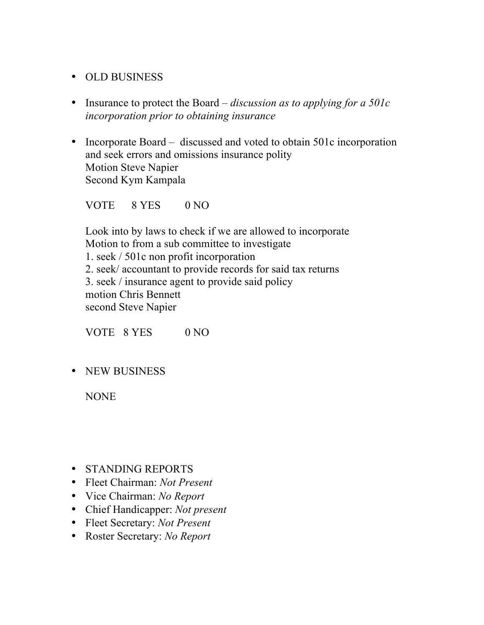## • OLD BUSINESS

- Insurance to protect the Board *– discussion as to applying for a 501c incorporation prior to obtaining insurance*
- Incorporate Board discussed and voted to obtain 501c incorporation and seek errors and omissions insurance polity Motion Steve Napier Second Kym Kampala

VOTE 8 YES 0 NO

Look into by laws to check if we are allowed to incorporate Motion to from a sub committee to investigate 1. seek / 501c non profit incorporation 2. seek/ accountant to provide records for said tax returns 3. seek / insurance agent to provide said policy motion Chris Bennett second Steve Napier

VOTE 8 YES 0 NO

• NEW BUSINESS

NONE

- STANDING REPORTS
- Fleet Chairman: *Not Present*
- Vice Chairman: *No Report*
- Chief Handicapper: *Not present*
- Fleet Secretary: *Not Present*
- Roster Secretary: *No Report*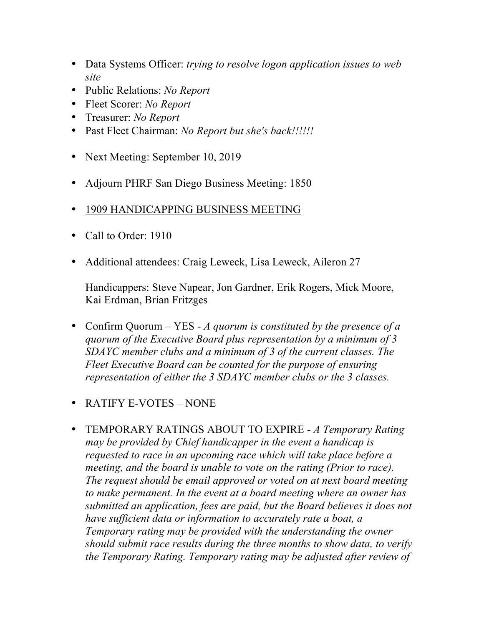- Data Systems Officer: *trying to resolve logon application issues to web site*
- Public Relations: *No Report*
- Fleet Scorer: *No Report*
- Treasurer: *No Report*
- Past Fleet Chairman: *No Report but she's back!!!!!!*
- Next Meeting: September 10, 2019
- Adjourn PHRF San Diego Business Meeting: 1850
- 1909 HANDICAPPING BUSINESS MEETING
- Call to Order: 1910
- Additional attendees: Craig Leweck, Lisa Leweck, Aileron 27

Handicappers: Steve Napear, Jon Gardner, Erik Rogers, Mick Moore, Kai Erdman, Brian Fritzges

- Confirm Quorum YES *A quorum is constituted by the presence of a quorum of the Executive Board plus representation by a minimum of 3 SDAYC member clubs and a minimum of 3 of the current classes. The Fleet Executive Board can be counted for the purpose of ensuring representation of either the 3 SDAYC member clubs or the 3 classes.*
- RATIFY E-VOTES NONE
- TEMPORARY RATINGS ABOUT TO EXPIRE *A Temporary Rating may be provided by Chief handicapper in the event a handicap is requested to race in an upcoming race which will take place before a meeting, and the board is unable to vote on the rating (Prior to race). The request should be email approved or voted on at next board meeting to make permanent. In the event at a board meeting where an owner has submitted an application, fees are paid, but the Board believes it does not have sufficient data or information to accurately rate a boat, a Temporary rating may be provided with the understanding the owner should submit race results during the three months to show data, to verify the Temporary Rating. Temporary rating may be adjusted after review of*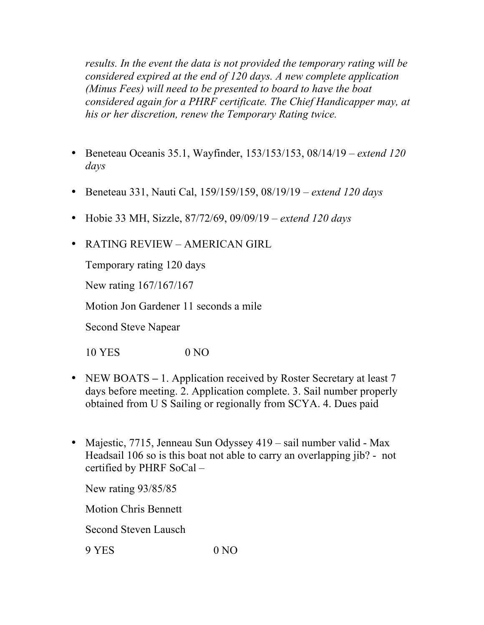*results. In the event the data is not provided the temporary rating will be considered expired at the end of 120 days. A new complete application (Minus Fees) will need to be presented to board to have the boat considered again for a PHRF certificate. The Chief Handicapper may, at his or her discretion, renew the Temporary Rating twice.*

- Beneteau Oceanis 35.1, Wayfinder, 153/153/153, 08/14/19 *extend 120 days*
- Beneteau 331, Nauti Cal, 159/159/159, 08/19/19 *– extend 120 days*
- Hobie 33 MH, Sizzle, 87/72/69, 09/09/19 *extend 120 days*
- RATING REVIEW AMERICAN GIRL

Temporary rating 120 days

New rating 167/167/167

Motion Jon Gardener 11 seconds a mile

Second Steve Napear

10 YES 0 NO

- NEW BOATS 1. Application received by Roster Secretary at least 7 days before meeting. 2. Application complete. 3. Sail number properly obtained from U S Sailing or regionally from SCYA. 4. Dues paid
- Majestic, 7715, Jenneau Sun Odyssey 419 sail number valid Max Headsail 106 so is this boat not able to carry an overlapping jib? - not certified by PHRF SoCal –

New rating 93/85/85

Motion Chris Bennett

Second Steven Lausch

9 YES 0 NO